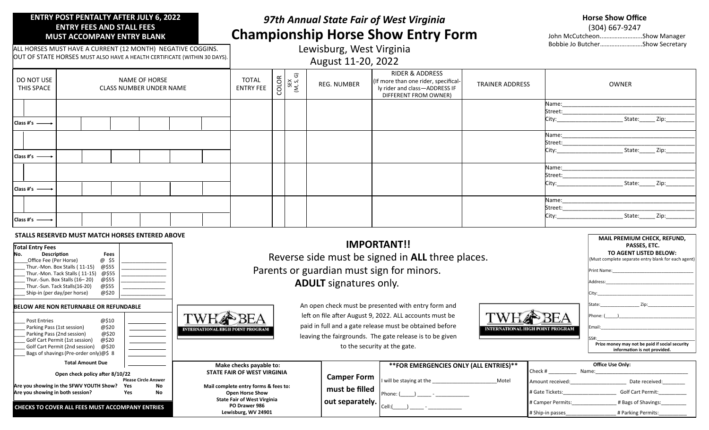### **ENTRY POST PENTALTY AFTER JULY 6, 2022 ENTRY FEES AND STALL FEES MUST ACCOMPANY ENTRY BLANK**

# *97th Annual State Fair of West Virginia* **Championship Horse Show Entry Form**

| <b>Horse Show Office</b>        |  |  |  |  |
|---------------------------------|--|--|--|--|
| $(304)$ 667-9247                |  |  |  |  |
| John McCutcheonShow Manager     |  |  |  |  |
| Bobbie Jo ButcherShow Secretary |  |  |  |  |

**MAIL PREMIUM CHECK, REFUND,**

ALL HORSES MUST HAVE A CURRENT (12 MONTH) NEGATIVE COGGINS. OUT OF STATE HORSES MUST ALSO HAVE A HEALTH CERTIFICATE (WITHIN 30 DAYS).

## Lewisburg, West Virginia August 11-20, 2022

| DO NOT USE<br>THIS SPACE    | NAME OF HORSE<br><b>CLASS NUMBER UNDER NAME</b> | <b>TOTAL</b><br><b>ENTRY FEE</b> | COLOR<br>SEX<br>(M, S, G) | REG. NUMBER | RIDER & ADDRESS<br>(If more than one rider, specifical-<br>ly rider and class-ADDRESS IF<br>DIFFERENT FROM OWNER) | <b>TRAINER ADDRESS</b> | OWNER                                                                                                                                                                        |
|-----------------------------|-------------------------------------------------|----------------------------------|---------------------------|-------------|-------------------------------------------------------------------------------------------------------------------|------------------------|------------------------------------------------------------------------------------------------------------------------------------------------------------------------------|
| Class #'s $\longrightarrow$ |                                                 |                                  |                           |             |                                                                                                                   |                        | Name: when the contract of the contract of the contract of the contract of the contract of the contract of the<br>State: Zip:                                                |
| Class #'s $\longrightarrow$ |                                                 |                                  |                           |             |                                                                                                                   |                        | Name:<br>City: 2008<br>State: Zip:                                                                                                                                           |
| Class #'s $\longrightarrow$ |                                                 |                                  |                           |             |                                                                                                                   |                        | Name: when the contract of the contract of the contract of the contract of the contract of the contract of the<br>Street:______________________<br>State: Zip:<br>City: 2008 |
| Class #'s $\longrightarrow$ |                                                 |                                  |                           |             |                                                                                                                   |                        | Name: and the state of the state of the state of the state of the state of the state of the state of the state<br>Street:<br>State: Zip:<br>City:                            |

#### **STALLS RESERVED MUST MATCH HORSES ENTERED ABOVE**

| <b>Total Entry Fees</b><br><b>Fees</b><br><b>Description</b><br>@ \$5<br>Office Fee (Per Horse)<br>@\$55<br>Thur.-Mon. Box Stalls (11-15)<br>@\$55<br>Thur.-Mon. Tack Stalls (11-15)<br>@\$55<br>Thur.-Sun. Box Stalls (16-20)<br>@\$55<br>Thur.-Sun. Tack Stalls(16-20)<br>@\$20<br>Ship-in (per day/per horse) | Reverse side must be signed in ALL three places.<br>Parents or guardian must sign for minors.<br><b>ADULT</b> signatures only. | PASSES, ETC.<br>TO AGENT LISTED BELOW:<br>(Must complete separate entry blank for each agent<br>Print Name:<br>Address: |                                                                                                                                                                                                                                       |                                               |                                                                                                                |
|------------------------------------------------------------------------------------------------------------------------------------------------------------------------------------------------------------------------------------------------------------------------------------------------------------------|--------------------------------------------------------------------------------------------------------------------------------|-------------------------------------------------------------------------------------------------------------------------|---------------------------------------------------------------------------------------------------------------------------------------------------------------------------------------------------------------------------------------|-----------------------------------------------|----------------------------------------------------------------------------------------------------------------|
| BELOW ARE NON RETURNABLE OR REFUNDABLE<br>@\$10<br><b>Post Entries</b><br>@\$20<br>Parking Pass (1st session)<br>@\$20<br>Parking Pass (2nd session)<br>@\$20<br>Golf Cart Permit (1st session)<br>Golf Cart Permit (2nd session)<br>@\$20<br>Bags of shavings (Pre-order only) $@$$ 8                           | <b>INTERNATIONAL HIGH POINT PROGRAM</b>                                                                                        | to the security at the gate.                                                                                            | An open check must be presented with entry form and<br>left on file after August 9, 2022. ALL accounts must be<br>paid in full and a gate release must be obtained before<br>leaving the fairgrounds. The gate release is to be given | <b>BEA</b><br>NTERNATIONAL HIGH POINT PROGRAM | State:<br>Phone: (<br>Email:<br>Prize money may not be paid if social security<br>information is not provided. |
| <b>Total Amount Due</b>                                                                                                                                                                                                                                                                                          | Make checks payable to:                                                                                                        |                                                                                                                         | ** FOR EMERGENCIES ONLY (ALL ENTRIES)**                                                                                                                                                                                               | Check #                                       | Office Use Only:<br>Name:                                                                                      |
| Open check policy after 8/10/22<br><b>Please Circle Answer</b>                                                                                                                                                                                                                                                   | STATE FAIR OF WEST VIRGINIA                                                                                                    | <b>Camper Form</b>                                                                                                      | I will be staying at the<br>Motel                                                                                                                                                                                                     | Amount received:                              | Date received:                                                                                                 |
| Are you showing in the SFWV YOUTH Show?<br>No.<br>Yes<br>Are you showing in both session?<br>No<br>Yes                                                                                                                                                                                                           | Mail complete entry forms & fees to:<br><b>Open Horse Show</b>                                                                 | must be filled                                                                                                          | Phone: (                                                                                                                                                                                                                              | # Gate Tickets:                               | <b>Golf Cart Permit:</b>                                                                                       |
| CHECKS TO COVER ALL FEES MUST ACCOMPANY ENTRIES                                                                                                                                                                                                                                                                  | <b>State Fair of West Virginia</b><br>PO Drawer 986<br>Lewisburg, WV 24901                                                     | out separately.                                                                                                         | Cell:                                                                                                                                                                                                                                 | # Camper Permits:<br># Ship-in passes         | # Bags of Shavings:<br># Parking Permits:                                                                      |